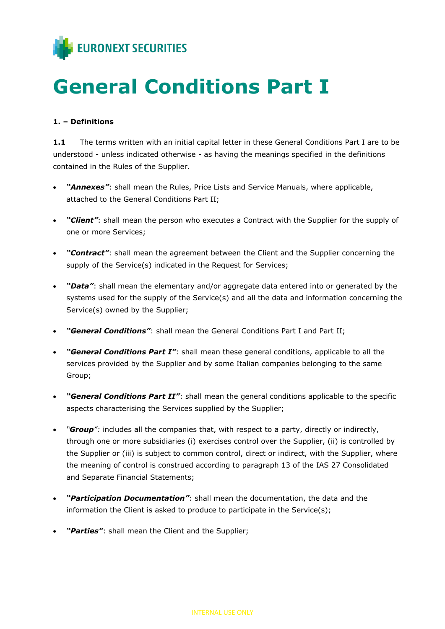

# **General Conditions Part I**

#### **1. – Definitions**

1.1 The terms written with an initial capital letter in these General Conditions Part I are to be understood - unless indicated otherwise - as having the meanings specified in the definitions contained in the Rules of the Supplier.

- *"Annexes"*: shall mean the Rules, Price Lists and Service Manuals, where applicable, attached to the General Conditions Part II;
- *"Client"*: shall mean the person who executes a Contract with the Supplier for the supply of one or more Services;
- *"Contract"*: shall mean the agreement between the Client and the Supplier concerning the supply of the Service(s) indicated in the Request for Services;
- *"Data"*: shall mean the elementary and/or aggregate data entered into or generated by the systems used for the supply of the Service(s) and all the data and information concerning the Service(s) owned by the Supplier;
- *"General Conditions"*: shall mean the General Conditions Part I and Part II;
- *"General Conditions Part I"*: shall mean these general conditions, applicable to all the services provided by the Supplier and by some Italian companies belonging to the same Group;
- *"General Conditions Part II"*: shall mean the general conditions applicable to the specific aspects characterising the Services supplied by the Supplier;
- *"Group":* includes all the companies that, with respect to a party, directly or indirectly, through one or more subsidiaries (i) exercises control over the Supplier, (ii) is controlled by the Supplier or (iii) is subject to common control, direct or indirect, with the Supplier, where the meaning of control is construed according to paragraph 13 of the IAS 27 Consolidated and Separate Financial Statements;
- *"Participation Documentation"*: shall mean the documentation, the data and the information the Client is asked to produce to participate in the Service(s);
- *"Parties"*: shall mean the Client and the Supplier;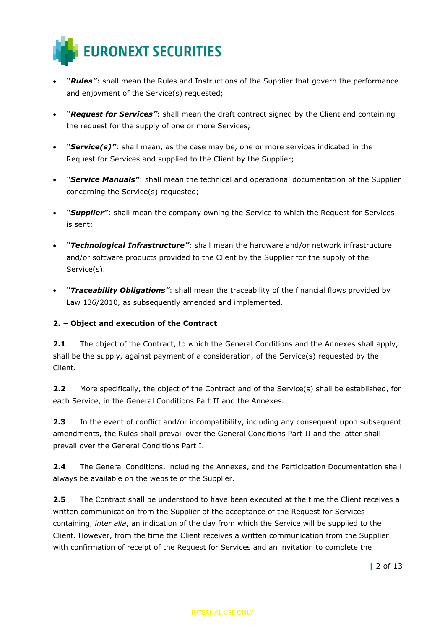

- *"Rules"*: shall mean the Rules and Instructions of the Supplier that govern the performance and enjoyment of the Service(s) requested;
- *"Request for Services"*: shall mean the draft contract signed by the Client and containing the request for the supply of one or more Services;
- "Service(s)": shall mean, as the case may be, one or more services indicated in the Request for Services and supplied to the Client by the Supplier;
- *"Service Manuals"*: shall mean the technical and operational documentation of the Supplier concerning the Service(s) requested;
- *"Supplier"*: shall mean the company owning the Service to which the Request for Services is sent;
- *"Technological Infrastructure"*: shall mean the hardware and/or network infrastructure and/or software products provided to the Client by the Supplier for the supply of the Service(s).
- *"Traceability Obligations"*: shall mean the traceability of the financial flows provided by Law 136/2010, as subsequently amended and implemented.

## **2. – Object and execution of the Contract**

**2.1** The object of the Contract, to which the General Conditions and the Annexes shall apply, shall be the supply, against payment of a consideration, of the Service(s) requested by the Client.

**2.2** More specifically, the object of the Contract and of the Service(s) shall be established, for each Service, in the General Conditions Part II and the Annexes.

**2.3** In the event of conflict and/or incompatibility, including any consequent upon subsequent amendments, the Rules shall prevail over the General Conditions Part II and the latter shall prevail over the General Conditions Part I.

**2.4** The General Conditions, including the Annexes, and the Participation Documentation shall always be available on the website of the Supplier.

**2.5** The Contract shall be understood to have been executed at the time the Client receives a written communication from the Supplier of the acceptance of the Request for Services containing, *inter alia*, an indication of the day from which the Service will be supplied to the Client. However, from the time the Client receives a written communication from the Supplier with confirmation of receipt of the Request for Services and an invitation to complete the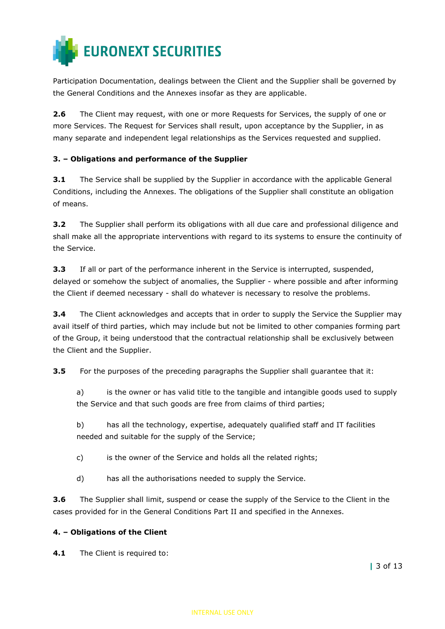

Participation Documentation, dealings between the Client and the Supplier shall be governed by the General Conditions and the Annexes insofar as they are applicable.

**2.6** The Client may request, with one or more Requests for Services, the supply of one or more Services. The Request for Services shall result, upon acceptance by the Supplier, in as many separate and independent legal relationships as the Services requested and supplied.

## **3. – Obligations and performance of the Supplier**

**3.1** The Service shall be supplied by the Supplier in accordance with the applicable General Conditions, including the Annexes. The obligations of the Supplier shall constitute an obligation of means.

**3.2** The Supplier shall perform its obligations with all due care and professional diligence and shall make all the appropriate interventions with regard to its systems to ensure the continuity of the Service.

**3.3** If all or part of the performance inherent in the Service is interrupted, suspended, delayed or somehow the subject of anomalies, the Supplier - where possible and after informing the Client if deemed necessary - shall do whatever is necessary to resolve the problems.

**3.4** The Client acknowledges and accepts that in order to supply the Service the Supplier may avail itself of third parties, which may include but not be limited to other companies forming part of the Group, it being understood that the contractual relationship shall be exclusively between the Client and the Supplier.

**3.5** For the purposes of the preceding paragraphs the Supplier shall guarantee that it:

a) is the owner or has valid title to the tangible and intangible goods used to supply the Service and that such goods are free from claims of third parties;

b) has all the technology, expertise, adequately qualified staff and IT facilities needed and suitable for the supply of the Service;

- c) is the owner of the Service and holds all the related rights;
- d) has all the authorisations needed to supply the Service.

**3.6** The Supplier shall limit, suspend or cease the supply of the Service to the Client in the cases provided for in the General Conditions Part II and specified in the Annexes.

#### **4. – Obligations of the Client**

**4.1** The Client is required to: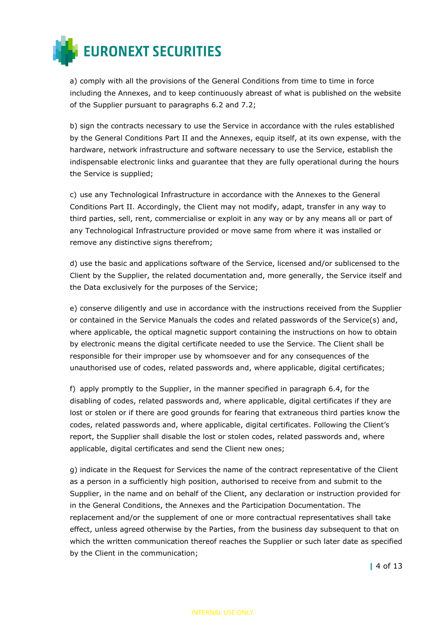

a) comply with all the provisions of the General Conditions from time to time in force including the Annexes, and to keep continuously abreast of what is published on the website of the Supplier pursuant to paragraphs 6.2 and 7.2;

b) sign the contracts necessary to use the Service in accordance with the rules established by the General Conditions Part II and the Annexes, equip itself, at its own expense, with the hardware, network infrastructure and software necessary to use the Service, establish the indispensable electronic links and guarantee that they are fully operational during the hours the Service is supplied;

c) use any Technological Infrastructure in accordance with the Annexes to the General Conditions Part II. Accordingly, the Client may not modify, adapt, transfer in any way to third parties, sell, rent, commercialise or exploit in any way or by any means all or part of any Technological Infrastructure provided or move same from where it was installed or remove any distinctive signs therefrom;

d) use the basic and applications software of the Service, licensed and/or sublicensed to the Client by the Supplier, the related documentation and, more generally, the Service itself and the Data exclusively for the purposes of the Service;

e) conserve diligently and use in accordance with the instructions received from the Supplier or contained in the Service Manuals the codes and related passwords of the Service(s) and, where applicable, the optical magnetic support containing the instructions on how to obtain by electronic means the digital certificate needed to use the Service. The Client shall be responsible for their improper use by whomsoever and for any consequences of the unauthorised use of codes, related passwords and, where applicable, digital certificates;

f) apply promptly to the Supplier, in the manner specified in paragraph 6.4, for the disabling of codes, related passwords and, where applicable, digital certificates if they are lost or stolen or if there are good grounds for fearing that extraneous third parties know the codes, related passwords and, where applicable, digital certificates. Following the Client's report, the Supplier shall disable the lost or stolen codes, related passwords and, where applicable, digital certificates and send the Client new ones;

g) indicate in the Request for Services the name of the contract representative of the Client as a person in a sufficiently high position, authorised to receive from and submit to the Supplier, in the name and on behalf of the Client, any declaration or instruction provided for in the General Conditions, the Annexes and the Participation Documentation. The replacement and/or the supplement of one or more contractual representatives shall take effect, unless agreed otherwise by the Parties, from the business day subsequent to that on which the written communication thereof reaches the Supplier or such later date as specified by the Client in the communication;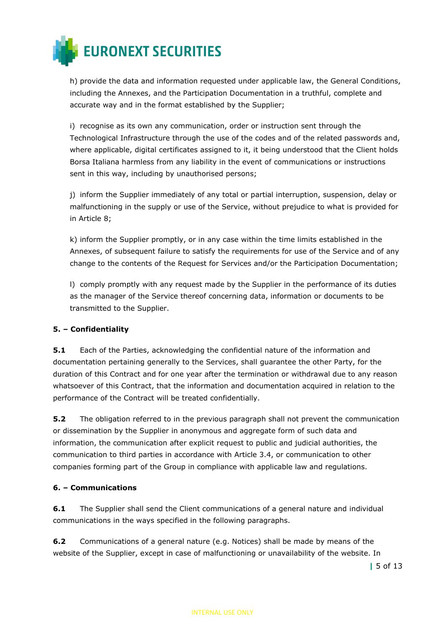

h) provide the data and information requested under applicable law, the General Conditions, including the Annexes, and the Participation Documentation in a truthful, complete and accurate way and in the format established by the Supplier;

i) recognise as its own any communication, order or instruction sent through the Technological Infrastructure through the use of the codes and of the related passwords and, where applicable, digital certificates assigned to it, it being understood that the Client holds Borsa Italiana harmless from any liability in the event of communications or instructions sent in this way, including by unauthorised persons;

j) inform the Supplier immediately of any total or partial interruption, suspension, delay or malfunctioning in the supply or use of the Service, without prejudice to what is provided for in Article 8;

k) inform the Supplier promptly, or in any case within the time limits established in the Annexes, of subsequent failure to satisfy the requirements for use of the Service and of any change to the contents of the Request for Services and/or the Participation Documentation;

l) comply promptly with any request made by the Supplier in the performance of its duties as the manager of the Service thereof concerning data, information or documents to be transmitted to the Supplier.

## **5. – Confidentiality**

**5.1** Each of the Parties, acknowledging the confidential nature of the information and documentation pertaining generally to the Services, shall guarantee the other Party, for the duration of this Contract and for one year after the termination or withdrawal due to any reason whatsoever of this Contract, that the information and documentation acquired in relation to the performance of the Contract will be treated confidentially.

**5.2** The obligation referred to in the previous paragraph shall not prevent the communication or dissemination by the Supplier in anonymous and aggregate form of such data and information, the communication after explicit request to public and judicial authorities, the communication to third parties in accordance with Article 3.4, or communication to other companies forming part of the Group in compliance with applicable law and regulations.

## **6. – Communications**

**6.1** The Supplier shall send the Client communications of a general nature and individual communications in the ways specified in the following paragraphs.

**6.2** Communications of a general nature (e.g. Notices) shall be made by means of the website of the Supplier, except in case of malfunctioning or unavailability of the website. In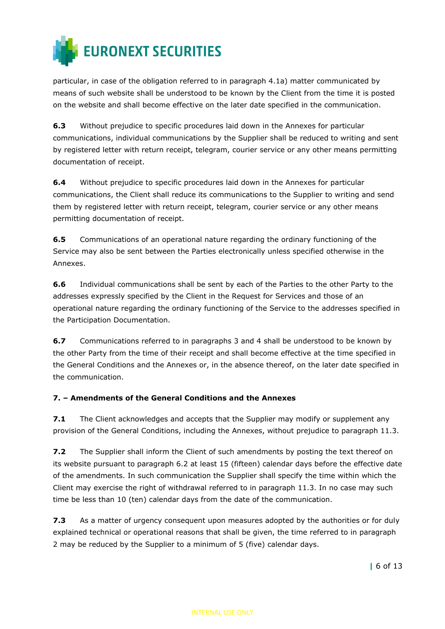

particular, in case of the obligation referred to in paragraph 4.1a) matter communicated by means of such website shall be understood to be known by the Client from the time it is posted on the website and shall become effective on the later date specified in the communication.

**6.3** Without prejudice to specific procedures laid down in the Annexes for particular communications, individual communications by the Supplier shall be reduced to writing and sent by registered letter with return receipt, telegram, courier service or any other means permitting documentation of receipt.

**6.4** Without prejudice to specific procedures laid down in the Annexes for particular communications, the Client shall reduce its communications to the Supplier to writing and send them by registered letter with return receipt, telegram, courier service or any other means permitting documentation of receipt.

**6.5** Communications of an operational nature regarding the ordinary functioning of the Service may also be sent between the Parties electronically unless specified otherwise in the Annexes.

**6.6** Individual communications shall be sent by each of the Parties to the other Party to the addresses expressly specified by the Client in the Request for Services and those of an operational nature regarding the ordinary functioning of the Service to the addresses specified in the Participation Documentation.

**6.7** Communications referred to in paragraphs 3 and 4 shall be understood to be known by the other Party from the time of their receipt and shall become effective at the time specified in the General Conditions and the Annexes or, in the absence thereof, on the later date specified in the communication.

## **7. – Amendments of the General Conditions and the Annexes**

**7.1** The Client acknowledges and accepts that the Supplier may modify or supplement any provision of the General Conditions, including the Annexes, without prejudice to paragraph 11.3.

**7.2** The Supplier shall inform the Client of such amendments by posting the text thereof on its website pursuant to paragraph 6.2 at least 15 (fifteen) calendar days before the effective date of the amendments. In such communication the Supplier shall specify the time within which the Client may exercise the right of withdrawal referred to in paragraph 11.3. In no case may such time be less than 10 (ten) calendar days from the date of the communication.

**7.3** As a matter of urgency consequent upon measures adopted by the authorities or for duly explained technical or operational reasons that shall be given, the time referred to in paragraph 2 may be reduced by the Supplier to a minimum of 5 (five) calendar days.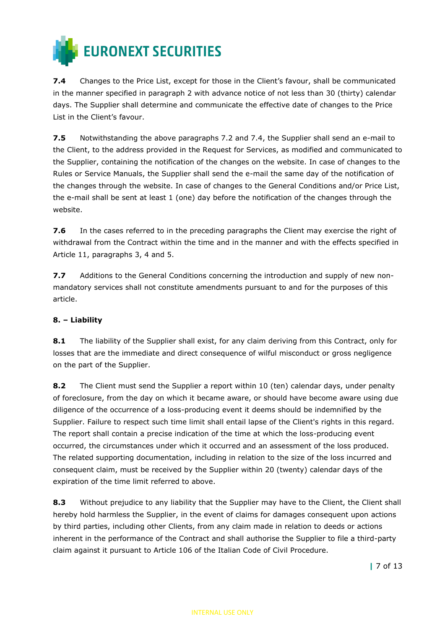

**7.4** Changes to the Price List, except for those in the Client's favour, shall be communicated in the manner specified in paragraph 2 with advance notice of not less than 30 (thirty) calendar days. The Supplier shall determine and communicate the effective date of changes to the Price List in the Client's favour.

**7.5** Notwithstanding the above paragraphs 7.2 and 7.4, the Supplier shall send an e-mail to the Client, to the address provided in the Request for Services, as modified and communicated to the Supplier, containing the notification of the changes on the website. In case of changes to the Rules or Service Manuals, the Supplier shall send the e-mail the same day of the notification of the changes through the website. In case of changes to the General Conditions and/or Price List, the e-mail shall be sent at least 1 (one) day before the notification of the changes through the website.

**7.6** In the cases referred to in the preceding paragraphs the Client may exercise the right of withdrawal from the Contract within the time and in the manner and with the effects specified in Article 11, paragraphs 3, 4 and 5.

**7.7** Additions to the General Conditions concerning the introduction and supply of new nonmandatory services shall not constitute amendments pursuant to and for the purposes of this article.

## **8. – Liability**

**8.1** The liability of the Supplier shall exist, for any claim deriving from this Contract, only for losses that are the immediate and direct consequence of wilful misconduct or gross negligence on the part of the Supplier.

**8.2** The Client must send the Supplier a report within 10 (ten) calendar days, under penalty of foreclosure, from the day on which it became aware, or should have become aware using due diligence of the occurrence of a loss-producing event it deems should be indemnified by the Supplier. Failure to respect such time limit shall entail lapse of the Client's rights in this regard. The report shall contain a precise indication of the time at which the loss-producing event occurred, the circumstances under which it occurred and an assessment of the loss produced. The related supporting documentation, including in relation to the size of the loss incurred and consequent claim, must be received by the Supplier within 20 (twenty) calendar days of the expiration of the time limit referred to above.

**8.3** Without prejudice to any liability that the Supplier may have to the Client, the Client shall hereby hold harmless the Supplier, in the event of claims for damages consequent upon actions by third parties, including other Clients, from any claim made in relation to deeds or actions inherent in the performance of the Contract and shall authorise the Supplier to file a third-party claim against it pursuant to Article 106 of the Italian Code of Civil Procedure.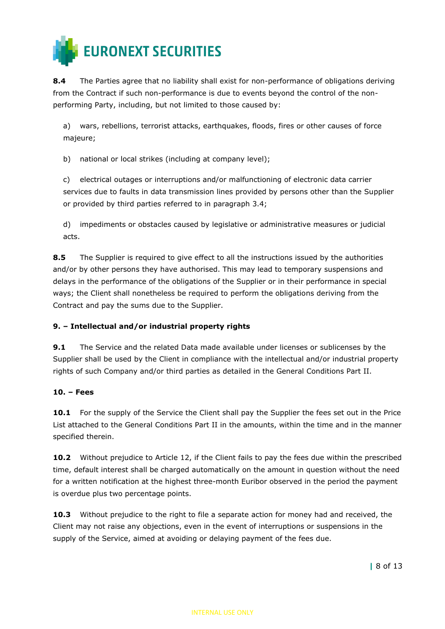

**8.4** The Parties agree that no liability shall exist for non-performance of obligations deriving from the Contract if such non-performance is due to events beyond the control of the nonperforming Party, including, but not limited to those caused by:

a) wars, rebellions, terrorist attacks, earthquakes, floods, fires or other causes of force majeure;

b) national or local strikes (including at company level);

c) electrical outages or interruptions and/or malfunctioning of electronic data carrier services due to faults in data transmission lines provided by persons other than the Supplier or provided by third parties referred to in paragraph 3.4;

d) impediments or obstacles caused by legislative or administrative measures or judicial acts.

**8.5** The Supplier is required to give effect to all the instructions issued by the authorities and/or by other persons they have authorised. This may lead to temporary suspensions and delays in the performance of the obligations of the Supplier or in their performance in special ways; the Client shall nonetheless be required to perform the obligations deriving from the Contract and pay the sums due to the Supplier.

## **9. – Intellectual and/or industrial property rights**

**9.1** The Service and the related Data made available under licenses or sublicenses by the Supplier shall be used by the Client in compliance with the intellectual and/or industrial property rights of such Company and/or third parties as detailed in the General Conditions Part II.

## **10. – Fees**

**10.1** For the supply of the Service the Client shall pay the Supplier the fees set out in the Price List attached to the General Conditions Part II in the amounts, within the time and in the manner specified therein.

**10.2** Without prejudice to Article 12, if the Client fails to pay the fees due within the prescribed time, default interest shall be charged automatically on the amount in question without the need for a written notification at the highest three-month Euribor observed in the period the payment is overdue plus two percentage points.

**10.3** Without prejudice to the right to file a separate action for money had and received, the Client may not raise any objections, even in the event of interruptions or suspensions in the supply of the Service, aimed at avoiding or delaying payment of the fees due.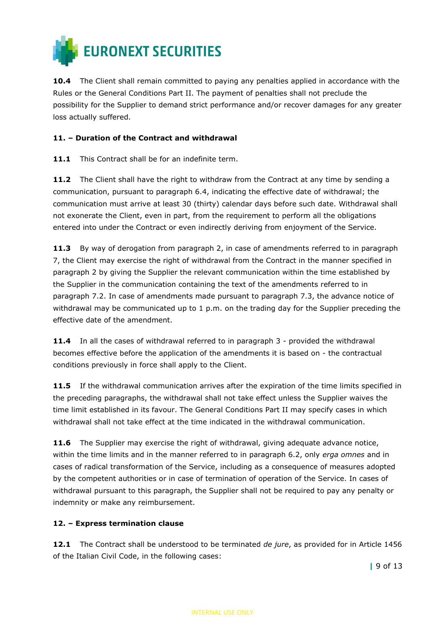

**10.4** The Client shall remain committed to paying any penalties applied in accordance with the Rules or the General Conditions Part II. The payment of penalties shall not preclude the possibility for the Supplier to demand strict performance and/or recover damages for any greater loss actually suffered.

## **11. – Duration of the Contract and withdrawal**

**11.1** This Contract shall be for an indefinite term.

**11.2** The Client shall have the right to withdraw from the Contract at any time by sending a communication, pursuant to paragraph 6.4, indicating the effective date of withdrawal; the communication must arrive at least 30 (thirty) calendar days before such date. Withdrawal shall not exonerate the Client, even in part, from the requirement to perform all the obligations entered into under the Contract or even indirectly deriving from enjoyment of the Service.

**11.3** By way of derogation from paragraph 2, in case of amendments referred to in paragraph 7, the Client may exercise the right of withdrawal from the Contract in the manner specified in paragraph 2 by giving the Supplier the relevant communication within the time established by the Supplier in the communication containing the text of the amendments referred to in paragraph 7.2. In case of amendments made pursuant to paragraph 7.3, the advance notice of withdrawal may be communicated up to 1 p.m. on the trading day for the Supplier preceding the effective date of the amendment.

**11.4** In all the cases of withdrawal referred to in paragraph 3 - provided the withdrawal becomes effective before the application of the amendments it is based on - the contractual conditions previously in force shall apply to the Client.

11.5 If the withdrawal communication arrives after the expiration of the time limits specified in the preceding paragraphs, the withdrawal shall not take effect unless the Supplier waives the time limit established in its favour. The General Conditions Part II may specify cases in which withdrawal shall not take effect at the time indicated in the withdrawal communication.

**11.6** The Supplier may exercise the right of withdrawal, giving adequate advance notice, within the time limits and in the manner referred to in paragraph 6.2, only *erga omnes* and in cases of radical transformation of the Service, including as a consequence of measures adopted by the competent authorities or in case of termination of operation of the Service. In cases of withdrawal pursuant to this paragraph, the Supplier shall not be required to pay any penalty or indemnity or make any reimbursement.

## **12. – Express termination clause**

**12.1** The Contract shall be understood to be terminated *de jure*, as provided for in Article 1456 of the Italian Civil Code, in the following cases: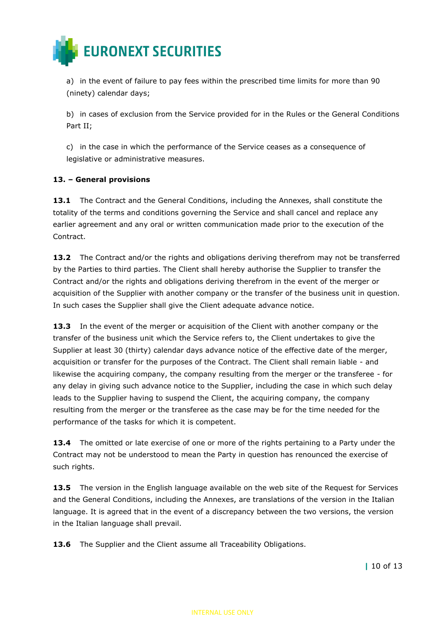

a) in the event of failure to pay fees within the prescribed time limits for more than 90 (ninety) calendar days;

b) in cases of exclusion from the Service provided for in the Rules or the General Conditions Part II;

c) in the case in which the performance of the Service ceases as a consequence of legislative or administrative measures.

## **13. – General provisions**

**13.1** The Contract and the General Conditions, including the Annexes, shall constitute the totality of the terms and conditions governing the Service and shall cancel and replace any earlier agreement and any oral or written communication made prior to the execution of the Contract.

**13.2** The Contract and/or the rights and obligations deriving therefrom may not be transferred by the Parties to third parties. The Client shall hereby authorise the Supplier to transfer the Contract and/or the rights and obligations deriving therefrom in the event of the merger or acquisition of the Supplier with another company or the transfer of the business unit in question. In such cases the Supplier shall give the Client adequate advance notice.

13.3 In the event of the merger or acquisition of the Client with another company or the transfer of the business unit which the Service refers to, the Client undertakes to give the Supplier at least 30 (thirty) calendar days advance notice of the effective date of the merger, acquisition or transfer for the purposes of the Contract. The Client shall remain liable - and likewise the acquiring company, the company resulting from the merger or the transferee - for any delay in giving such advance notice to the Supplier, including the case in which such delay leads to the Supplier having to suspend the Client, the acquiring company, the company resulting from the merger or the transferee as the case may be for the time needed for the performance of the tasks for which it is competent.

**13.4** The omitted or late exercise of one or more of the rights pertaining to a Party under the Contract may not be understood to mean the Party in question has renounced the exercise of such rights.

**13.5** The version in the English language available on the web site of the Request for Services and the General Conditions, including the Annexes, are translations of the version in the Italian language. It is agreed that in the event of a discrepancy between the two versions, the version in the Italian language shall prevail.

13.6 The Supplier and the Client assume all Traceability Obligations.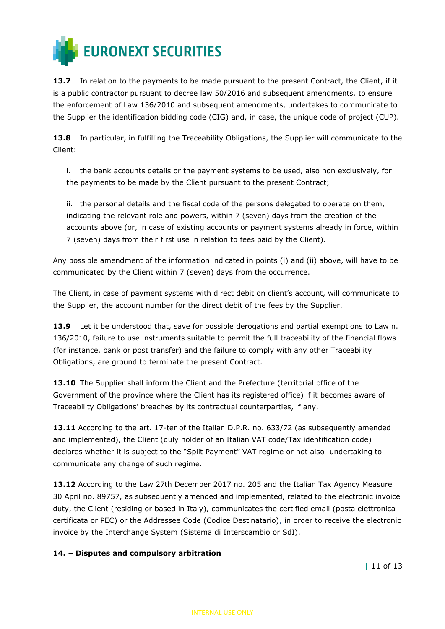

**13.7** In relation to the payments to be made pursuant to the present Contract, the Client, if it is a public contractor pursuant to decree law 50/2016 and subsequent amendments, to ensure the enforcement of Law 136/2010 and subsequent amendments, undertakes to communicate to the Supplier the identification bidding code (CIG) and, in case, the unique code of project (CUP).

**13.8** In particular, in fulfilling the Traceability Obligations, the Supplier will communicate to the Client:

i. the bank accounts details or the payment systems to be used, also non exclusively, for the payments to be made by the Client pursuant to the present Contract;

ii. the personal details and the fiscal code of the persons delegated to operate on them, indicating the relevant role and powers, within 7 (seven) days from the creation of the accounts above (or, in case of existing accounts or payment systems already in force, within 7 (seven) days from their first use in relation to fees paid by the Client).

Any possible amendment of the information indicated in points (i) and (ii) above, will have to be communicated by the Client within 7 (seven) days from the occurrence.

The Client, in case of payment systems with direct debit on client's account, will communicate to the Supplier, the account number for the direct debit of the fees by the Supplier.

**13.9** Let it be understood that, save for possible derogations and partial exemptions to Law n. 136/2010, failure to use instruments suitable to permit the full traceability of the financial flows (for instance, bank or post transfer) and the failure to comply with any other Traceability Obligations, are ground to terminate the present Contract.

**13.10** The Supplier shall inform the Client and the Prefecture (territorial office of the Government of the province where the Client has its registered office) if it becomes aware of Traceability Obligations' breaches by its contractual counterparties, if any.

13.11 According to the art. 17-ter of the Italian D.P.R. no. 633/72 (as subsequently amended and implemented), the Client (duly holder of an Italian VAT code/Tax identification code) declares whether it is subject to the "Split Payment" VAT regime or not also undertaking to communicate any change of such regime.

**13.12** According to the Law 27th December 2017 no. 205 and the Italian Tax Agency Measure 30 April no. 89757, as subsequently amended and implemented, related to the electronic invoice duty, the Client (residing or based in Italy), communicates the certified email (posta elettronica certificata or PEC) or the Addressee Code (Codice Destinatario), in order to receive the electronic invoice by the Interchange System (Sistema di Interscambio or SdI).

## **14. – Disputes and compulsory arbitration**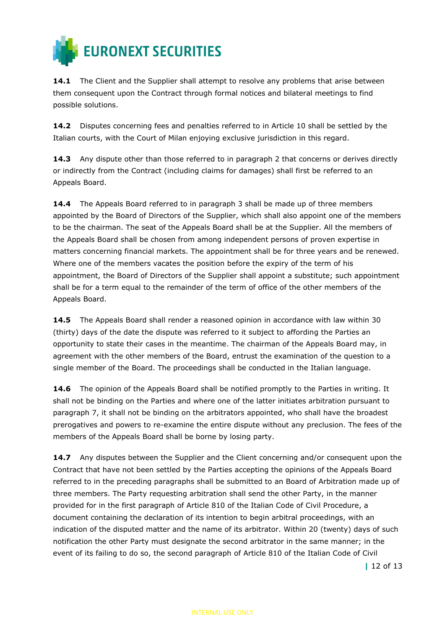

**14.1** The Client and the Supplier shall attempt to resolve any problems that arise between them consequent upon the Contract through formal notices and bilateral meetings to find possible solutions.

**14.2** Disputes concerning fees and penalties referred to in Article 10 shall be settled by the Italian courts, with the Court of Milan enjoying exclusive jurisdiction in this regard.

14.3 Any dispute other than those referred to in paragraph 2 that concerns or derives directly or indirectly from the Contract (including claims for damages) shall first be referred to an Appeals Board.

**14.4** The Appeals Board referred to in paragraph 3 shall be made up of three members appointed by the Board of Directors of the Supplier, which shall also appoint one of the members to be the chairman. The seat of the Appeals Board shall be at the Supplier. All the members of the Appeals Board shall be chosen from among independent persons of proven expertise in matters concerning financial markets. The appointment shall be for three years and be renewed. Where one of the members vacates the position before the expiry of the term of his appointment, the Board of Directors of the Supplier shall appoint a substitute; such appointment shall be for a term equal to the remainder of the term of office of the other members of the Appeals Board.

**14.5** The Appeals Board shall render a reasoned opinion in accordance with law within 30 (thirty) days of the date the dispute was referred to it subject to affording the Parties an opportunity to state their cases in the meantime. The chairman of the Appeals Board may, in agreement with the other members of the Board, entrust the examination of the question to a single member of the Board. The proceedings shall be conducted in the Italian language.

**14.6** The opinion of the Appeals Board shall be notified promptly to the Parties in writing. It shall not be binding on the Parties and where one of the latter initiates arbitration pursuant to paragraph 7, it shall not be binding on the arbitrators appointed, who shall have the broadest prerogatives and powers to re-examine the entire dispute without any preclusion. The fees of the members of the Appeals Board shall be borne by losing party.

**14.7** Any disputes between the Supplier and the Client concerning and/or consequent upon the Contract that have not been settled by the Parties accepting the opinions of the Appeals Board referred to in the preceding paragraphs shall be submitted to an Board of Arbitration made up of three members. The Party requesting arbitration shall send the other Party, in the manner provided for in the first paragraph of Article 810 of the Italian Code of Civil Procedure, a document containing the declaration of its intention to begin arbitral proceedings, with an indication of the disputed matter and the name of its arbitrator. Within 20 (twenty) days of such notification the other Party must designate the second arbitrator in the same manner; in the event of its failing to do so, the second paragraph of Article 810 of the Italian Code of Civil

**|** 12 of 13